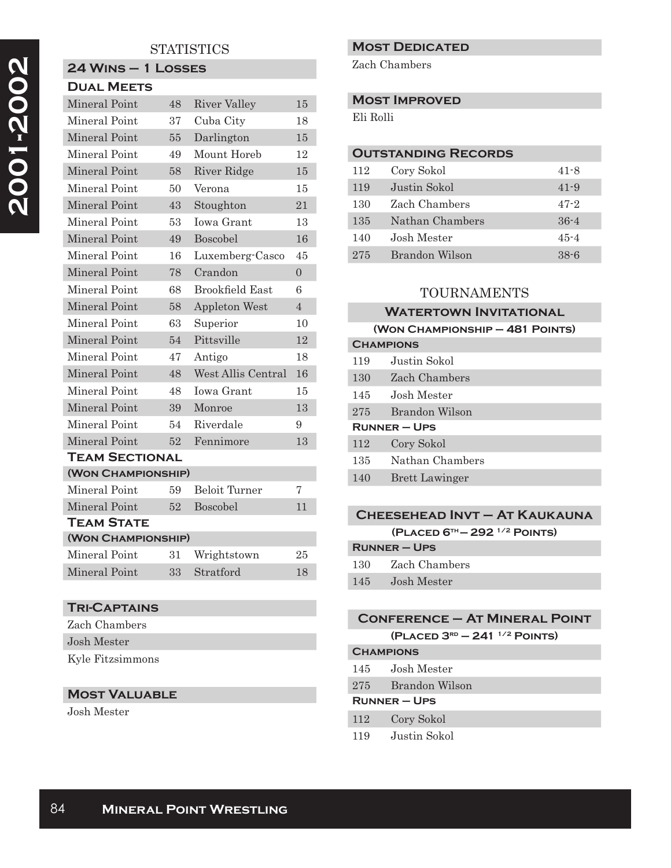### **STATISTICS**

#### **24 Wins – 1 Losses Dual Meets**

| Mineral Point         | 48 | <b>River Valley</b>  | 15             |  |
|-----------------------|----|----------------------|----------------|--|
| Mineral Point         | 37 | Cuba City            | 18             |  |
| Mineral Point         | 55 | Darlington           | 15             |  |
| Mineral Point         | 49 | Mount Horeb          | 12             |  |
| Mineral Point         | 58 | River Ridge          | 15             |  |
| Mineral Point         | 50 | Verona               | 15             |  |
| Mineral Point         | 43 | Stoughton            | 21             |  |
| Mineral Point         | 53 | <b>Iowa Grant</b>    | 13             |  |
| Mineral Point         | 49 | Boscobel             | 16             |  |
| Mineral Point         | 16 | Luxemberg-Casco      | 45             |  |
| Mineral Point         | 78 | Crandon              | $\Omega$       |  |
| Mineral Point         | 68 | Brookfield East      | 6              |  |
| Mineral Point         | 58 | <b>Appleton West</b> | $\overline{4}$ |  |
| Mineral Point         | 63 | Superior             | 10             |  |
| <b>Mineral Point</b>  | 54 | Pittsville           | 12             |  |
| Mineral Point         | 47 | Antigo               | 18             |  |
| Mineral Point         | 48 | West Allis Central   | 16             |  |
| Mineral Point         | 48 | <b>Iowa Grant</b>    | 15             |  |
| Mineral Point         | 39 | Monroe               | 13             |  |
| Mineral Point         | 54 | Riverdale            | 9              |  |
| Mineral Point         | 52 | Fennimore            | 13             |  |
| <b>TEAM SECTIONAL</b> |    |                      |                |  |
| (WON CHAMPIONSHIP)    |    |                      |                |  |
| Mineral Point         | 59 | Beloit Turner        | 7              |  |
| Mineral Point         | 52 | Boscobel             | 11             |  |
| <b>TEAM STATE</b>     |    |                      |                |  |
| (WON CHAMPIONSHIP)    |    |                      |                |  |
| Mineral Point         | 31 | Wrightstown          | 25             |  |
| Mineral Point         | 33 | Stratford            | 18             |  |

#### **Tri-Captains**

| Zach Chambers    |
|------------------|
| Josh Mester      |
| Kyle Fitzsimmons |

#### **Most Valuable**

Josh Mester

#### **Most Dedicated**

Zach Chambers

#### **Most Improved**

Eli Rolli

#### **Outstanding Records**

| 112 | Cory Sokol      | $41 - 8$ |
|-----|-----------------|----------|
| 119 | Justin Sokol    | $41 - 9$ |
| 130 | Zach Chambers   | $47 - 2$ |
| 135 | Nathan Chambers | $36 - 4$ |
| 140 | Josh Mester     | $45 - 4$ |
| 275 | Brandon Wilson  | $38 - 6$ |

#### TOURNAMENTS

## **Watertown Invitational (Won Championship – 481 Points) Champions** 119 Justin Sokol 130 Zach Chambers 145 Josh Mester 275 Brandon Wilson **Runner – Ups** 112 Cory Sokol 135 Nathan Chambers 140 Brett Lawinger

#### **Cheesehead Invt – At Kaukauna (Placed 6th — 292 1/2 Points)**

| <b>RUNNER-UPS</b> |                   |  |
|-------------------|-------------------|--|
|                   | 130 Zach Chambers |  |
| 145               | Josh Mester       |  |

# **Conference – At Mineral Point**

**(Placed 3rd – 241 1/2 Points)**

# **Champions** 145 Josh Mester

- 275 Brandon Wilson
- **Runner Ups**
- 112 Cory Sokol
- 119 Justin Sokol